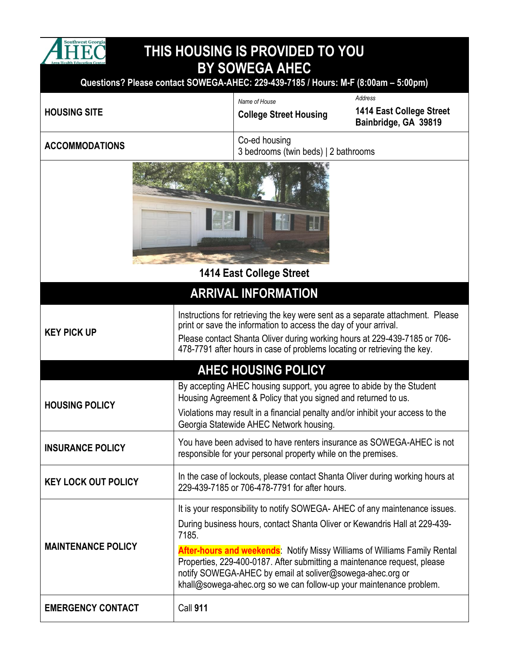

## **THIS HOUSING IS PROVIDED TO YOU BY SOWEGA AHEC**

**Questions? Please contact SOWEGA-AHEC: 229-439-7185 / Hours: M-F (8:00am – 5:00pm)**

| <b>HOUSING SITE</b>             |                                                                                                                                                                                                                                                                                                             | Name of House<br><b>College Street Housing</b>                                                                                                                                                                                                                                                                                                                                                                                                               | Address<br>1414 East College Street<br>Bainbridge, GA 39819 |  |
|---------------------------------|-------------------------------------------------------------------------------------------------------------------------------------------------------------------------------------------------------------------------------------------------------------------------------------------------------------|--------------------------------------------------------------------------------------------------------------------------------------------------------------------------------------------------------------------------------------------------------------------------------------------------------------------------------------------------------------------------------------------------------------------------------------------------------------|-------------------------------------------------------------|--|
| <b>ACCOMMODATIONS</b>           |                                                                                                                                                                                                                                                                                                             | Co-ed housing<br>3 bedrooms (twin beds)   2 bathrooms                                                                                                                                                                                                                                                                                                                                                                                                        |                                                             |  |
| <b>1414 East College Street</b> |                                                                                                                                                                                                                                                                                                             |                                                                                                                                                                                                                                                                                                                                                                                                                                                              |                                                             |  |
| <b>ARRIVAL INFORMATION</b>      |                                                                                                                                                                                                                                                                                                             |                                                                                                                                                                                                                                                                                                                                                                                                                                                              |                                                             |  |
| <b>KEY PICK UP</b>              | Instructions for retrieving the key were sent as a separate attachment. Please<br>print or save the information to access the day of your arrival.<br>Please contact Shanta Oliver during working hours at 229-439-7185 or 706-<br>478-7791 after hours in case of problems locating or retrieving the key. |                                                                                                                                                                                                                                                                                                                                                                                                                                                              |                                                             |  |
| <b>AHEC HOUSING POLICY</b>      |                                                                                                                                                                                                                                                                                                             |                                                                                                                                                                                                                                                                                                                                                                                                                                                              |                                                             |  |
| <b>HOUSING POLICY</b>           |                                                                                                                                                                                                                                                                                                             | By accepting AHEC housing support, you agree to abide by the Student<br>Housing Agreement & Policy that you signed and returned to us.<br>Violations may result in a financial penalty and/or inhibit your access to the<br>Georgia Statewide AHEC Network housing.                                                                                                                                                                                          |                                                             |  |
| <b>INSURANCE POLICY</b>         |                                                                                                                                                                                                                                                                                                             | You have been advised to have renters insurance as SOWEGA-AHEC is not<br>responsible for your personal property while on the premises.                                                                                                                                                                                                                                                                                                                       |                                                             |  |
| <b>KEY LOCK OUT POLICY</b>      |                                                                                                                                                                                                                                                                                                             | In the case of lockouts, please contact Shanta Oliver during working hours at<br>229-439-7185 or 706-478-7791 for after hours.                                                                                                                                                                                                                                                                                                                               |                                                             |  |
| <b>MAINTENANCE POLICY</b>       | 7185.                                                                                                                                                                                                                                                                                                       | It is your responsibility to notify SOWEGA-AHEC of any maintenance issues.<br>During business hours, contact Shanta Oliver or Kewandris Hall at 229-439-<br><b>After-hours and weekends:</b> Notify Missy Williams of Williams Family Rental<br>Properties, 229-400-0187. After submitting a maintenance request, please<br>notify SOWEGA-AHEC by email at soliver@sowega-ahec.org or<br>khall@sowega-ahec.org so we can follow-up your maintenance problem. |                                                             |  |
| <b>EMERGENCY CONTACT</b>        | <b>Call 911</b>                                                                                                                                                                                                                                                                                             |                                                                                                                                                                                                                                                                                                                                                                                                                                                              |                                                             |  |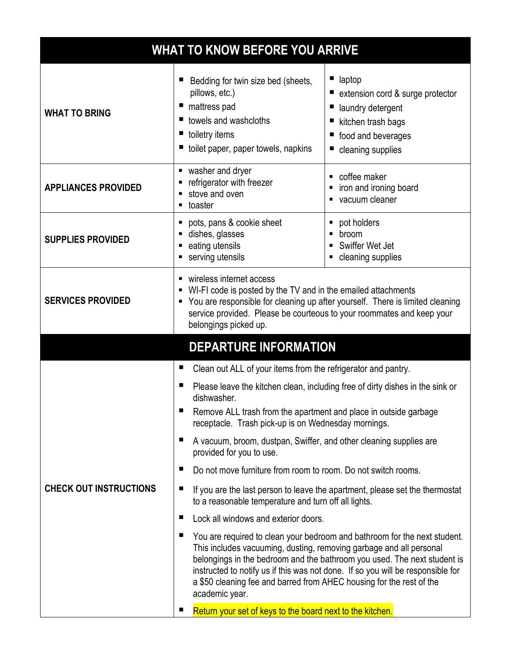| <b>WHAT TO KNOW BEFORE YOU ARRIVE</b> |                                                                                                                                                                                                                                                                                                                                                                                                                |                                                                                                                                  |  |  |
|---------------------------------------|----------------------------------------------------------------------------------------------------------------------------------------------------------------------------------------------------------------------------------------------------------------------------------------------------------------------------------------------------------------------------------------------------------------|----------------------------------------------------------------------------------------------------------------------------------|--|--|
| <b>WHAT TO BRING</b>                  | Bedding for twin size bed (sheets,<br>pillows, etc.)<br>mattress pad<br>ш<br>towels and washcloths<br>toiletry items<br>ш<br>toilet paper, paper towels, napkins                                                                                                                                                                                                                                               | laptop<br>extension cord & surge protector<br>laundry detergent<br>kitchen trash bags<br>food and beverages<br>cleaning supplies |  |  |
| <b>APPLIANCES PROVIDED</b>            | washer and dryer<br>п<br>refrigerator with freezer<br>stove and oven<br>toaster<br>Е                                                                                                                                                                                                                                                                                                                           | coffee maker<br>iron and ironing board<br>vacuum cleaner                                                                         |  |  |
| <b>SUPPLIES PROVIDED</b>              | pots, pans & cookie sheet<br>dishes, glasses<br>eating utensils<br>п<br>serving utensils                                                                                                                                                                                                                                                                                                                       | pot holders<br>٠<br>broom<br>Swiffer Wet Jet<br>cleaning supplies                                                                |  |  |
| <b>SERVICES PROVIDED</b>              | wireless internet access<br>WI-FI code is posted by the TV and in the emailed attachments<br>You are responsible for cleaning up after yourself. There is limited cleaning<br>п<br>service provided. Please be courteous to your roommates and keep your<br>belongings picked up.                                                                                                                              |                                                                                                                                  |  |  |
| <b>DEPARTURE INFORMATION</b>          |                                                                                                                                                                                                                                                                                                                                                                                                                |                                                                                                                                  |  |  |
|                                       | Clean out ALL of your items from the refrigerator and pantry.<br>ш<br>п<br>Please leave the kitchen clean, including free of dirty dishes in the sink or<br>dishwasher.<br>Remove ALL trash from the apartment and place in outside garbage<br>■<br>receptacle. Trash pick-up is on Wednesday mornings.<br>п<br>A vacuum, broom, dustpan, Swiffer, and other cleaning supplies are<br>provided for you to use. |                                                                                                                                  |  |  |
|                                       | Do not move furniture from room to room. Do not switch rooms.<br>■                                                                                                                                                                                                                                                                                                                                             |                                                                                                                                  |  |  |
| <b>CHECK OUT INSTRUCTIONS</b>         | п<br>If you are the last person to leave the apartment, please set the thermostat<br>to a reasonable temperature and turn off all lights.                                                                                                                                                                                                                                                                      |                                                                                                                                  |  |  |
|                                       | Lock all windows and exterior doors.<br>п                                                                                                                                                                                                                                                                                                                                                                      |                                                                                                                                  |  |  |
|                                       | п<br>You are required to clean your bedroom and bathroom for the next student.<br>This includes vacuuming, dusting, removing garbage and all personal<br>belongings in the bedroom and the bathroom you used. The next student is<br>instructed to notify us if this was not done. If so you will be responsible for<br>a \$50 cleaning fee and barred from AHEC housing for the rest of the<br>academic year. |                                                                                                                                  |  |  |
|                                       | Return your set of keys to the board next to the kitchen.                                                                                                                                                                                                                                                                                                                                                      |                                                                                                                                  |  |  |